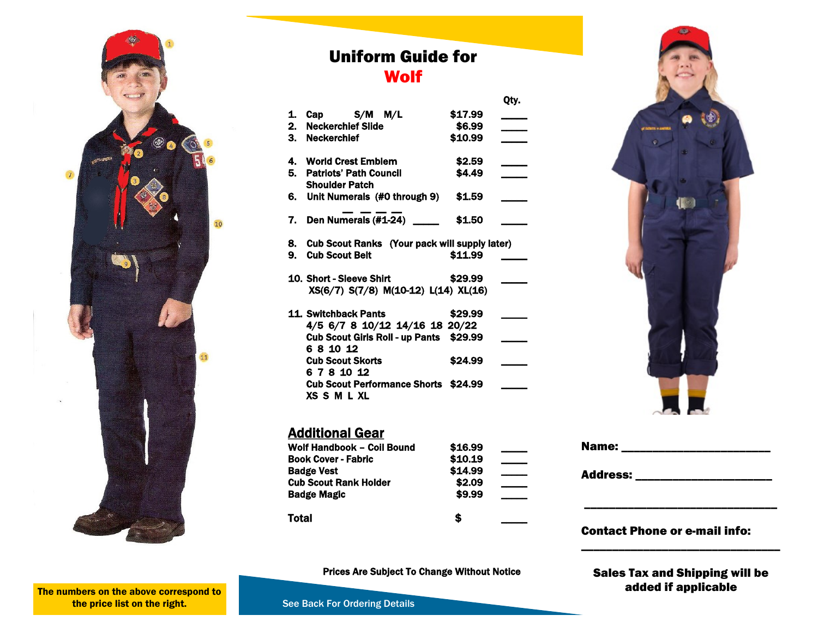

## Uniform Guide for **Wolf**

Qty.

| $\mathbf{1}$ | Cap $S/M$ $M/L$                                  | \$17.99 |  |
|--------------|--------------------------------------------------|---------|--|
|              | 2. Neckerchief Slide                             | \$6.99  |  |
|              | 3. Neckerchief                                   | \$10.99 |  |
|              |                                                  |         |  |
|              | 4. World Crest Emblem                            | \$2.59  |  |
|              | 5. Patriots' Path Council                        | \$4.49  |  |
|              | <b>Shoulder Patch</b>                            |         |  |
|              |                                                  | \$1.59  |  |
|              | 6. Unit Numerals (#0 through 9)                  |         |  |
|              |                                                  |         |  |
|              | 7. Den Numerals $(\#1-24)$ _____                 | \$1.50  |  |
|              |                                                  |         |  |
|              | 8. Cub Scout Ranks (Your pack will supply later) |         |  |
|              | 9. Cub Scout Belt                                | \$11.99 |  |
|              |                                                  |         |  |
|              | 10. Short - Sleeve Shirt                         | \$29.99 |  |
|              | XS(6/7) S(7/8) M(10-12) L(14) XL(16)             |         |  |
|              |                                                  |         |  |
|              | 11. Switchback Pants                             | \$29.99 |  |
|              | 4/5 6/7 8 10/12 14/16 18 20/22                   |         |  |
|              |                                                  |         |  |
|              | Cub Scout Girls Roll - up Pants \$29.99          |         |  |
|              | 681012                                           |         |  |
|              | <b>Cub Scout Skorts</b>                          | \$24.99 |  |
|              | 6 7 8 10 12                                      |         |  |
|              | <b>Cub Scout Performance Shorts \$24.99</b>      |         |  |
|              | XSSMLXL                                          |         |  |

### **Additional Gear**

| Wolf Handbook - Coil Bound   | \$16.99 |  |
|------------------------------|---------|--|
| <b>Book Cover - Fabric</b>   | \$10.19 |  |
| <b>Badge Vest</b>            | \$14.99 |  |
| <b>Cub Scout Rank Holder</b> | \$2.09  |  |
| <b>Badge Magic</b>           | \$9.99  |  |
| Total                        | S       |  |



| Name:           |  |  |
|-----------------|--|--|
| <b>Address:</b> |  |  |
|                 |  |  |
|                 |  |  |

### Prices Are Subject To Change Without Notice

Sales Tax and Shipping will be added if applicable

\_\_\_\_\_\_\_\_\_\_\_\_\_\_\_\_\_\_\_\_\_\_\_\_\_\_\_\_\_\_\_\_

The numbers on the above correspond to the price list on the right.

See Back For Ordering Details